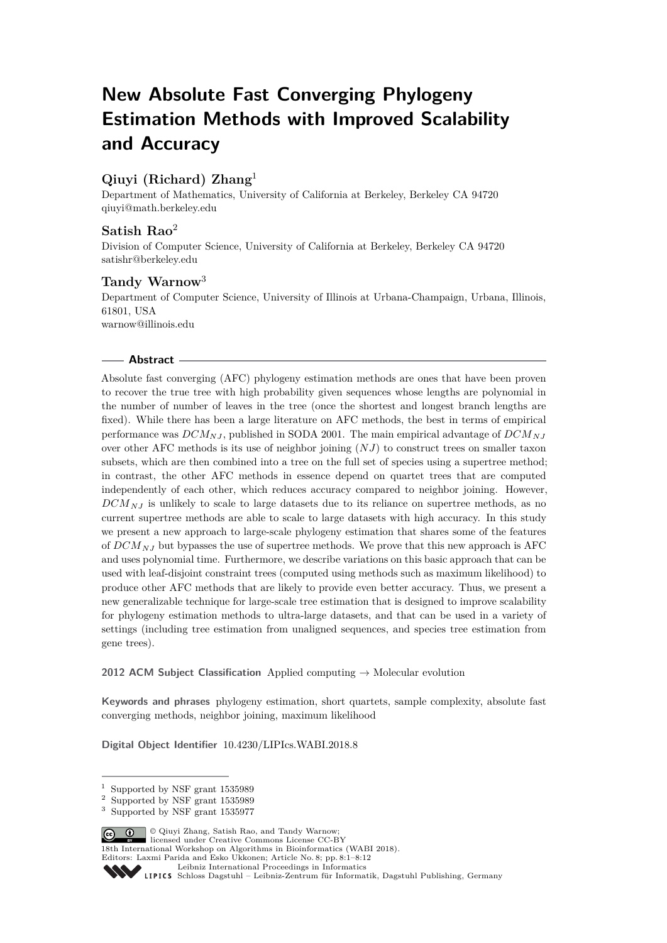# **New Absolute Fast Converging Phylogeny Estimation Methods with Improved Scalability and Accuracy**

# **Qiuyi (Richard) Zhang**<sup>1</sup>

Department of Mathematics, University of California at Berkeley, Berkeley CA 94720 [qiuyi@math.berkeley.edu](mailto:qiuyi@math.berkeley.edu)

# **Satish Rao**<sup>2</sup>

Division of Computer Science, University of California at Berkeley, Berkeley CA 94720 [satishr@berkeley.edu](mailto:satishr@berkeley.edu)

# **Tandy Warnow**<sup>3</sup>

Department of Computer Science, University of Illinois at Urbana-Champaign, Urbana, Illinois, 61801, USA [warnow@illinois.edu](mailto:warnow@illinois.edu)

## **Abstract**

Absolute fast converging (AFC) phylogeny estimation methods are ones that have been proven to recover the true tree with high probability given sequences whose lengths are polynomial in the number of number of leaves in the tree (once the shortest and longest branch lengths are fixed). While there has been a large literature on AFC methods, the best in terms of empirical performance was *DCMNJ* , published in SODA 2001. The main empirical advantage of *DCMNJ* over other AFC methods is its use of neighbor joining (*NJ*) to construct trees on smaller taxon subsets, which are then combined into a tree on the full set of species using a supertree method; in contrast, the other AFC methods in essence depend on quartet trees that are computed independently of each other, which reduces accuracy compared to neighbor joining. However, *DCMNJ* is unlikely to scale to large datasets due to its reliance on supertree methods, as no current supertree methods are able to scale to large datasets with high accuracy. In this study we present a new approach to large-scale phylogeny estimation that shares some of the features of  $DCM_{N,I}$  but bypasses the use of supertree methods. We prove that this new approach is AFC and uses polynomial time. Furthermore, we describe variations on this basic approach that can be used with leaf-disjoint constraint trees (computed using methods such as maximum likelihood) to produce other AFC methods that are likely to provide even better accuracy. Thus, we present a new generalizable technique for large-scale tree estimation that is designed to improve scalability for phylogeny estimation methods to ultra-large datasets, and that can be used in a variety of settings (including tree estimation from unaligned sequences, and species tree estimation from gene trees).

**2012 ACM Subject Classification** Applied computing → Molecular evolution

**Keywords and phrases** phylogeny estimation, short quartets, sample complexity, absolute fast converging methods, neighbor joining, maximum likelihood

**Digital Object Identifier** [10.4230/LIPIcs.WABI.2018.8](http://dx.doi.org/10.4230/LIPIcs.WABI.2018.8)

© Qiuyi Zhang, Satish Rao, and Tandy Warnow; licensed under Creative Commons License CC-BY

18th International Workshop on Algorithms in Bioinformatics (WABI 2018).

Editors: Laxmi Parida and Esko Ukkonen; Article No. 8; pp. 8:1–8[:12](#page-11-0)

<sup>1</sup> Supported by NSF grant 1535989

<sup>2</sup> Supported by NSF grant 1535989

Supported by NSF grant 1535977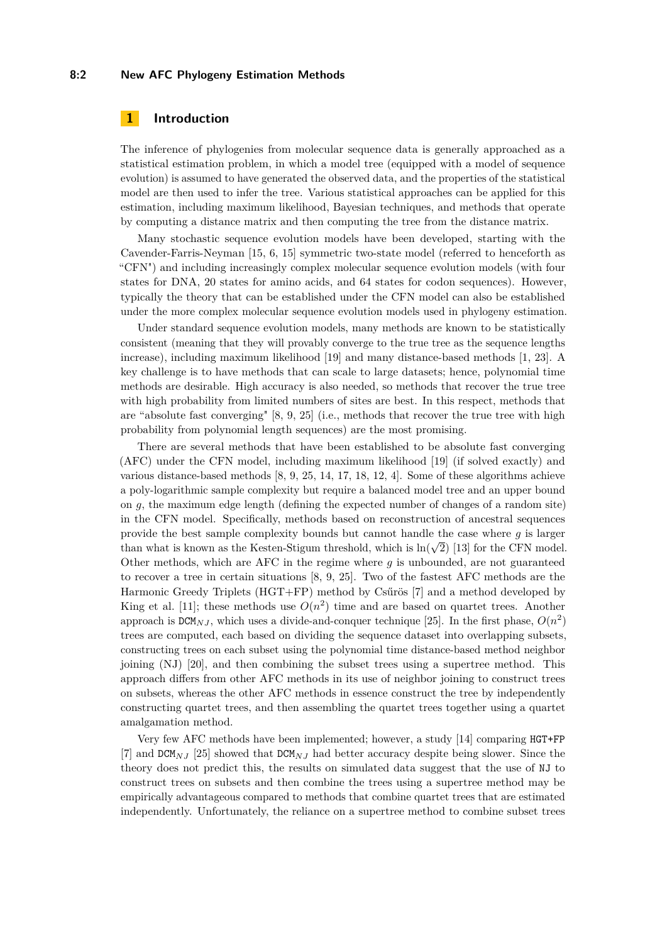#### **8:2 New AFC Phylogeny Estimation Methods**

## **1 Introduction**

The inference of phylogenies from molecular sequence data is generally approached as a statistical estimation problem, in which a model tree (equipped with a model of sequence evolution) is assumed to have generated the observed data, and the properties of the statistical model are then used to infer the tree. Various statistical approaches can be applied for this estimation, including maximum likelihood, Bayesian techniques, and methods that operate by computing a distance matrix and then computing the tree from the distance matrix.

Many stochastic sequence evolution models have been developed, starting with the Cavender-Farris-Neyman [\[15,](#page-11-1) [6,](#page-10-0) [15\]](#page-11-1) symmetric two-state model (referred to henceforth as "CFN") and including increasingly complex molecular sequence evolution models (with four states for DNA, 20 states for amino acids, and 64 states for codon sequences). However, typically the theory that can be established under the CFN model can also be established under the more complex molecular sequence evolution models used in phylogeny estimation.

Under standard sequence evolution models, many methods are known to be statistically consistent (meaning that they will provably converge to the true tree as the sequence lengths increase), including maximum likelihood [\[19\]](#page-11-2) and many distance-based methods [\[1,](#page-10-1) [23\]](#page-11-3). A key challenge is to have methods that can scale to large datasets; hence, polynomial time methods are desirable. High accuracy is also needed, so methods that recover the true tree with high probability from limited numbers of sites are best. In this respect, methods that are "absolute fast converging" [\[8,](#page-10-2) [9,](#page-11-4) [25\]](#page-11-5) (i.e., methods that recover the true tree with high probability from polynomial length sequences) are the most promising.

There are several methods that have been established to be absolute fast converging (AFC) under the CFN model, including maximum likelihood [\[19\]](#page-11-2) (if solved exactly) and various distance-based methods [\[8,](#page-10-2) [9,](#page-11-4) [25,](#page-11-5) [14,](#page-11-6) [17,](#page-11-7) [18,](#page-11-8) [12,](#page-11-9) [4\]](#page-10-3). Some of these algorithms achieve a poly-logarithmic sample complexity but require a balanced model tree and an upper bound on *g*, the maximum edge length (defining the expected number of changes of a random site) in the CFN model. Specifically, methods based on reconstruction of ancestral sequences provide the best sample complexity bounds but cannot handle the case where  $g$  is larger than what is known as the Kesten-Stigum threshold, which is  $\ln(\sqrt{2})$  [\[13\]](#page-11-10) for the CFN model. Other methods, which are AFC in the regime where *g* is unbounded, are not guaranteed to recover a tree in certain situations [\[8,](#page-10-2) [9,](#page-11-4) [25\]](#page-11-5). Two of the fastest AFC methods are the Harmonic Greedy Triplets (HGT+FP) method by Csűrös [\[7\]](#page-10-4) and a method developed by King et al. [\[11\]](#page-11-11); these methods use  $O(n^2)$  time and are based on quartet trees. Another approach is  $DCM_{NJ}$ , which uses a divide-and-conquer technique [\[25\]](#page-11-5). In the first phase,  $O(n^2)$ trees are computed, each based on dividing the sequence dataset into overlapping subsets, constructing trees on each subset using the polynomial time distance-based method neighbor joining (NJ) [\[20\]](#page-11-12), and then combining the subset trees using a supertree method. This approach differs from other AFC methods in its use of neighbor joining to construct trees on subsets, whereas the other AFC methods in essence construct the tree by independently constructing quartet trees, and then assembling the quartet trees together using a quartet amalgamation method.

Very few AFC methods have been implemented; however, a study [\[14\]](#page-11-6) comparing HGT+FP [\[7\]](#page-10-4) and DCM*NJ* [\[25\]](#page-11-5) showed that DCM*NJ* had better accuracy despite being slower. Since the theory does not predict this, the results on simulated data suggest that the use of NJ to construct trees on subsets and then combine the trees using a supertree method may be empirically advantageous compared to methods that combine quartet trees that are estimated independently. Unfortunately, the reliance on a supertree method to combine subset trees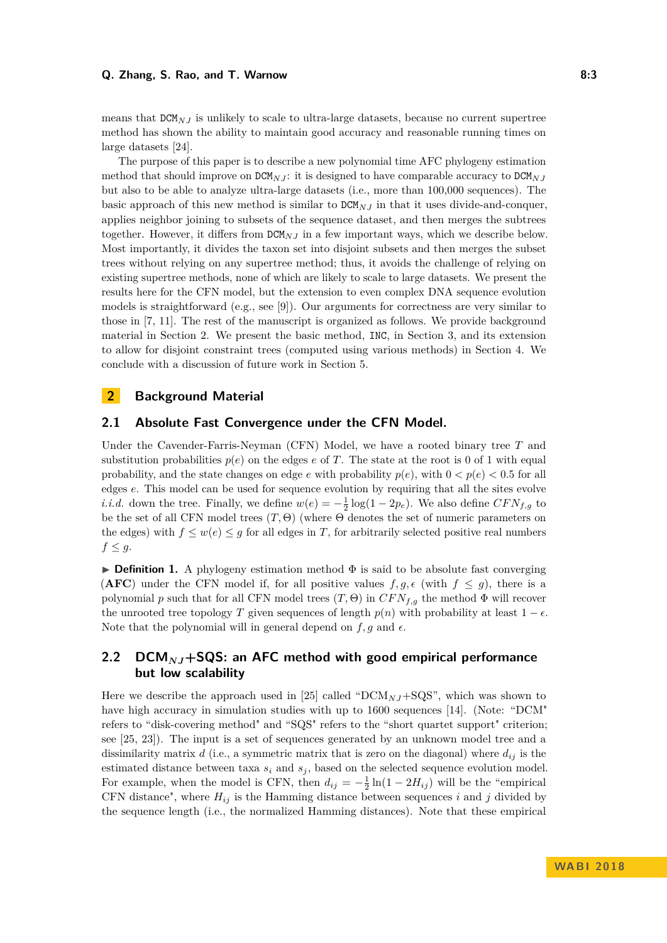#### **Q. Zhang, S. Rao, and T. Warnow 8:3**

means that  $DCM_{N,I}$  is unlikely to scale to ultra-large datasets, because no current supertree method has shown the ability to maintain good accuracy and reasonable running times on large datasets [\[24\]](#page-11-13).

The purpose of this paper is to describe a new polynomial time AFC phylogeny estimation method that should improve on  $DCM_N$ *j*: it is designed to have comparable accuracy to  $DCM_N$ *j* but also to be able to analyze ultra-large datasets (i.e., more than 100,000 sequences). The basic approach of this new method is similar to DCM*NJ* in that it uses divide-and-conquer, applies neighbor joining to subsets of the sequence dataset, and then merges the subtrees together. However, it differs from DCM*NJ* in a few important ways, which we describe below. Most importantly, it divides the taxon set into disjoint subsets and then merges the subset trees without relying on any supertree method; thus, it avoids the challenge of relying on existing supertree methods, none of which are likely to scale to large datasets. We present the results here for the CFN model, but the extension to even complex DNA sequence evolution models is straightforward (e.g., see [\[9\]](#page-11-4)). Our arguments for correctness are very similar to those in [\[7,](#page-10-4) [11\]](#page-11-11). The rest of the manuscript is organized as follows. We provide background material in Section [2.](#page-2-0) We present the basic method, INC, in Section [3,](#page-4-0) and its extension to allow for disjoint constraint trees (computed using various methods) in Section [4.](#page-8-0) We conclude with a discussion of future work in Section [5.](#page-10-5)

# <span id="page-2-0"></span>**2 Background Material**

## **2.1 Absolute Fast Convergence under the CFN Model.**

Under the Cavender-Farris-Neyman (CFN) Model, we have a rooted binary tree *T* and substitution probabilities  $p(e)$  on the edges *e* of *T*. The state at the root is 0 of 1 with equal probability, and the state changes on edge *e* with probability  $p(e)$ , with  $0 < p(e) < 0.5$  for all edges *e*. This model can be used for sequence evolution by requiring that all the sites evolve *i.i.d.* down the tree. Finally, we define  $w(e) = -\frac{1}{2} \log(1 - 2p_e)$ . We also define  $CFN_{f,g}$  to be the set of all CFN model trees (*T,* Θ) (where Θ denotes the set of numeric parameters on the edges) with  $f \leq w(e) \leq g$  for all edges in *T*, for arbitrarily selected positive real numbers  $f \leq g$ .

**Definition 1.** A phylogeny estimation method  $\Phi$  is said to be absolute fast converging (**AFC**) under the CFN model if, for all positive values  $f, g, \epsilon$  (with  $f \leq g$ ), there is a polynomial *p* such that for all CFN model trees  $(T, \Theta)$  in  $CFN_{f,q}$  the method  $\Phi$  will recover the unrooted tree topology *T* given sequences of length  $p(n)$  with probability at least  $1 - \epsilon$ . Note that the polynomial will in general depend on  $f, g$  and  $\epsilon$ .

# **2.2 DCM***NJ***+SQS: an AFC method with good empirical performance but low scalability**

Here we describe the approach used in [\[25\]](#page-11-5) called " $DCM_{N,I}$ +SQS", which was shown to have high accuracy in simulation studies with up to 1600 sequences [\[14\]](#page-11-6). (Note: "DCM" refers to "disk-covering method" and "SQS" refers to the "short quartet support" criterion; see [\[25,](#page-11-5) [23\]](#page-11-3)). The input is a set of sequences generated by an unknown model tree and a dissimilarity matrix  $d$  (i.e., a symmetric matrix that is zero on the diagonal) where  $d_{ij}$  is the estimated distance between taxa  $s_i$  and  $s_j$ , based on the selected sequence evolution model. For example, when the model is CFN, then  $d_{ij} = -\frac{1}{2} \ln(1 - 2H_{ij})$  will be the "empirical CFN distance", where  $H_{ij}$  is the Hamming distance between sequences *i* and *j* divided by the sequence length (i.e., the normalized Hamming distances). Note that these empirical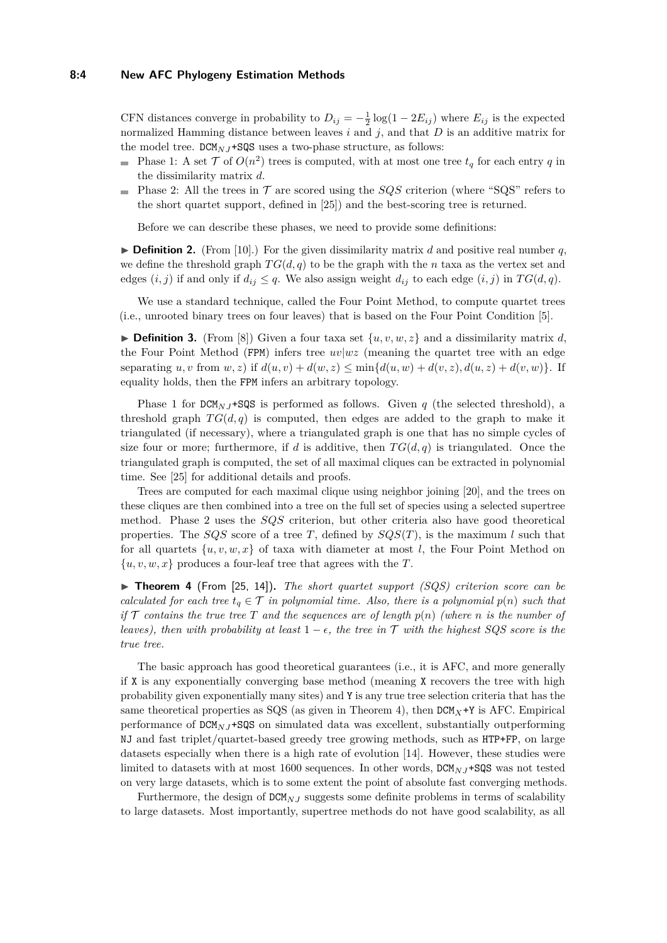#### **8:4 New AFC Phylogeny Estimation Methods**

CFN distances converge in probability to  $D_{ij} = -\frac{1}{2} \log(1 - 2E_{ij})$  where  $E_{ij}$  is the expected normalized Hamming distance between leaves *i* and *j*, and that *D* is an additive matrix for the model tree.  $DCM<sub>N,J</sub> + SQS$  uses a two-phase structure, as follows:

- Phase 1: A set  $\mathcal{T}$  of  $O(n^2)$  trees is computed, with at most one tree  $t_q$  for each entry  $q$  in the dissimilarity matrix *d*.
- Phase 2: All the trees in  $\mathcal T$  are scored using the *SQS* criterion (where "SQS" refers to  $\blacksquare$ the short quartet support, defined in [\[25\]](#page-11-5)) and the best-scoring tree is returned.

Before we can describe these phases, we need to provide some definitions:

 $\triangleright$  **Definition 2.** (From [\[10\]](#page-11-14).) For the given dissimilarity matrix *d* and positive real number *q*, we define the threshold graph  $TG(d, q)$  to be the graph with the *n* taxa as the vertex set and edges  $(i, j)$  if and only if  $d_{ij} \leq q$ . We also assign weight  $d_{ij}$  to each edge  $(i, j)$  in  $TG(d, q)$ .

We use a standard technique, called the Four Point Method, to compute quartet trees (i.e., unrooted binary trees on four leaves) that is based on the Four Point Condition [\[5\]](#page-10-6).

**Definition 3.** (From [\[8\]](#page-10-2)) Given a four taxa set  $\{u, v, w, z\}$  and a dissimilarity matrix *d*, the Four Point Method (FPM) infers tree  $uv/wz$  (meaning the quartet tree with an edge separating *u, v* from *w, z*) if  $d(u, v) + d(w, z) \le \min\{d(u, w) + d(v, z), d(u, z) + d(v, w)\}.$  If equality holds, then the FPM infers an arbitrary topology.

Phase 1 for  $DCM_{N,J}$ +SQS is performed as follows. Given *q* (the selected threshold), a threshold graph  $TG(d, q)$  is computed, then edges are added to the graph to make it triangulated (if necessary), where a triangulated graph is one that has no simple cycles of size four or more; furthermore, if *d* is additive, then  $TG(d, q)$  is triangulated. Once the triangulated graph is computed, the set of all maximal cliques can be extracted in polynomial time. See [\[25\]](#page-11-5) for additional details and proofs.

Trees are computed for each maximal clique using neighbor joining [\[20\]](#page-11-12), and the trees on these cliques are then combined into a tree on the full set of species using a selected supertree method. Phase 2 uses the *SQS* criterion, but other criteria also have good theoretical properties. The *SQS* score of a tree *T*, defined by  $SQS(T)$ , is the maximum *l* such that for all quartets  $\{u, v, w, x\}$  of taxa with diameter at most *l*, the Four Point Method on  $\{u, v, w, x\}$  produces a four-leaf tree that agrees with the *T*.

<span id="page-3-0"></span>▶ **Theorem 4** (From [\[25,](#page-11-5) [14\]](#page-11-6)). *The short quartet support (SQS) criterion score can be calculated for each tree*  $t_q \in \mathcal{T}$  *in polynomial time. Also, there is a polynomial*  $p(n)$  *such that if*  $\mathcal{T}$  *contains the true tree*  $T$  *and the sequences are of length*  $p(n)$  *(where*  $n$  *is the number of leaves), then with probability at least*  $1 - \epsilon$ , the tree in  $\mathcal T$  *with the highest SQS score is the true tree.*

The basic approach has good theoretical guarantees (i.e., it is AFC, and more generally if X is any exponentially converging base method (meaning X recovers the tree with high probability given exponentially many sites) and Y is any true tree selection criteria that has the same theoretical properties as SQS (as given in Theorem [4\)](#page-3-0), then  $DCM_X+Y$  is AFC. Empirical performance of DCM*NJ* +SQS on simulated data was excellent, substantially outperforming NJ and fast triplet/quartet-based greedy tree growing methods, such as HTP+FP, on large datasets especially when there is a high rate of evolution [\[14\]](#page-11-6). However, these studies were limited to datasets with at most 1600 sequences. In other words,  $DCM<sub>N,J</sub>$ +SQS was not tested on very large datasets, which is to some extent the point of absolute fast converging methods.

Furthermore, the design of  $DCM_{N,J}$  suggests some definite problems in terms of scalability to large datasets. Most importantly, supertree methods do not have good scalability, as all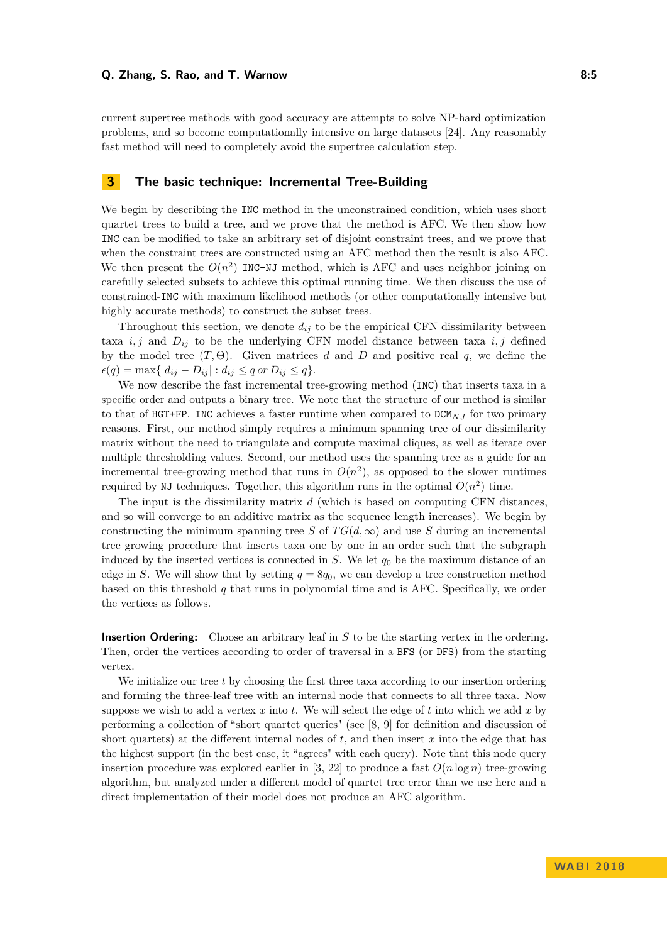current supertree methods with good accuracy are attempts to solve NP-hard optimization problems, and so become computationally intensive on large datasets [\[24\]](#page-11-13). Any reasonably fast method will need to completely avoid the supertree calculation step.

## <span id="page-4-0"></span>**3 The basic technique: Incremental Tree-Building**

We begin by describing the INC method in the unconstrained condition, which uses short quartet trees to build a tree, and we prove that the method is AFC. We then show how INC can be modified to take an arbitrary set of disjoint constraint trees, and we prove that when the constraint trees are constructed using an AFC method then the result is also AFC. We then present the  $O(n^2)$  INC-NJ method, which is AFC and uses neighbor joining on carefully selected subsets to achieve this optimal running time. We then discuss the use of constrained-INC with maximum likelihood methods (or other computationally intensive but highly accurate methods) to construct the subset trees.

Throughout this section, we denote  $d_{ij}$  to be the empirical CFN dissimilarity between taxa  $i, j$  and  $D_{ij}$  to be the underlying CFN model distance between taxa  $i, j$  defined by the model tree  $(T, \Theta)$ . Given matrices *d* and *D* and positive real *q*, we define the  $\epsilon(q) = \max\{|d_{ij} - D_{ij}| : d_{ij} \leq q \text{ or } D_{ij} \leq q\}.$ 

We now describe the fast incremental tree-growing method (INC) that inserts taxa in a specific order and outputs a binary tree. We note that the structure of our method is similar to that of HGT+FP. INC achieves a faster runtime when compared to  $DCM<sub>NJ</sub>$  for two primary reasons. First, our method simply requires a minimum spanning tree of our dissimilarity matrix without the need to triangulate and compute maximal cliques, as well as iterate over multiple thresholding values. Second, our method uses the spanning tree as a guide for an incremental tree-growing method that runs in  $O(n^2)$ , as opposed to the slower runtimes required by NJ techniques. Together, this algorithm runs in the optimal  $O(n^2)$  time.

The input is the dissimilarity matrix *d* (which is based on computing CFN distances, and so will converge to an additive matrix as the sequence length increases). We begin by constructing the minimum spanning tree *S* of  $TG(d,\infty)$  and use *S* during an incremental tree growing procedure that inserts taxa one by one in an order such that the subgraph induced by the inserted vertices is connected in *S*. We let *q*<sup>0</sup> be the maximum distance of an edge in *S*. We will show that by setting  $q = 8q_0$ , we can develop a tree construction method based on this threshold *q* that runs in polynomial time and is AFC. Specifically, we order the vertices as follows.

**Insertion Ordering:** Choose an arbitrary leaf in *S* to be the starting vertex in the ordering. Then, order the vertices according to order of traversal in a BFS (or DFS) from the starting vertex.

We initialize our tree *t* by choosing the first three taxa according to our insertion ordering and forming the three-leaf tree with an internal node that connects to all three taxa. Now suppose we wish to add a vertex  $x$  into  $t$ . We will select the edge of  $t$  into which we add  $x$  by performing a collection of "short quartet queries" (see [\[8,](#page-10-2) [9\]](#page-11-4) for definition and discussion of short quartets) at the different internal nodes of  $t$ , and then insert  $x$  into the edge that has the highest support (in the best case, it "agrees" with each query). Note that this node query insertion procedure was explored earlier in [\[3,](#page-10-7) [22\]](#page-11-15) to produce a fast  $O(n \log n)$  tree-growing algorithm, but analyzed under a different model of quartet tree error than we use here and a direct implementation of their model does not produce an AFC algorithm.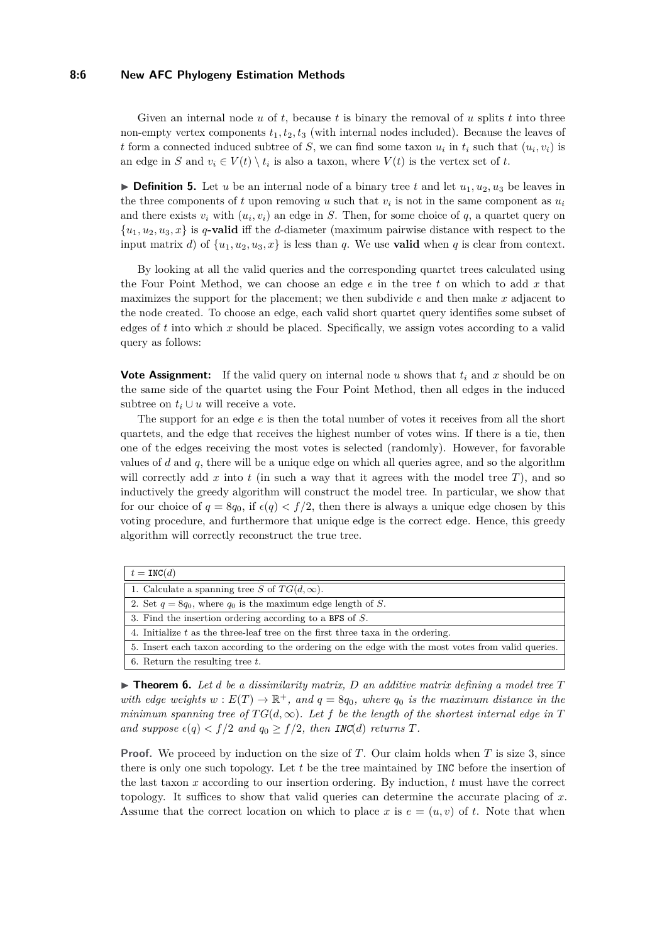#### **8:6 New AFC Phylogeny Estimation Methods**

Given an internal node *u* of *t*, because *t* is binary the removal of *u* splits *t* into three non-empty vertex components  $t_1, t_2, t_3$  (with internal nodes included). Because the leaves of *t* form a connected induced subtree of *S*, we can find some taxon  $u_i$  in  $t_i$  such that  $(u_i, v_i)$  is an edge in *S* and  $v_i \in V(t) \setminus t_i$  is also a taxon, where  $V(t)$  is the vertex set of *t*.

**Definition 5.** Let *u* be an internal node of a binary tree *t* and let  $u_1, u_2, u_3$  be leaves in the three components of t upon removing u such that  $v_i$  is not in the same component as  $u_i$ and there exists  $v_i$  with  $(u_i, v_i)$  an edge in *S*. Then, for some choice of  $q$ , a quartet query on  ${u_1, u_2, u_3, x}$  is *q***-valid** iff the *d*-diameter (maximum pairwise distance with respect to the input matrix *d*) of  $\{u_1, u_2, u_3, x\}$  is less than *q*. We use **valid** when *q* is clear from context.

By looking at all the valid queries and the corresponding quartet trees calculated using the Four Point Method, we can choose an edge *e* in the tree *t* on which to add *x* that maximizes the support for the placement; we then subdivide *e* and then make *x* adjacent to the node created. To choose an edge, each valid short quartet query identifies some subset of edges of *t* into which *x* should be placed. Specifically, we assign votes according to a valid query as follows:

**Vote Assignment:** If the valid query on internal node *u* shows that *t<sup>i</sup>* and *x* should be on the same side of the quartet using the Four Point Method, then all edges in the induced subtree on  $t_i \cup u$  will receive a vote.

The support for an edge *e* is then the total number of votes it receives from all the short quartets, and the edge that receives the highest number of votes wins. If there is a tie, then one of the edges receiving the most votes is selected (randomly). However, for favorable values of *d* and *q*, there will be a unique edge on which all queries agree, and so the algorithm will correctly add  $x$  into  $t$  (in such a way that it agrees with the model tree  $T$ ), and so inductively the greedy algorithm will construct the model tree. In particular, we show that for our choice of  $q = 8q_0$ , if  $\epsilon(q) < f/2$ , then there is always a unique edge chosen by this voting procedure, and furthermore that unique edge is the correct edge. Hence, this greedy algorithm will correctly reconstruct the true tree.

| $t = \text{INC}(d)$                                                                                |
|----------------------------------------------------------------------------------------------------|
| 1. Calculate a spanning tree S of $TG(d,\infty)$ .                                                 |
| 2. Set $q = 8q_0$ , where $q_0$ is the maximum edge length of S.                                   |
| 3. Find the insertion ordering according to a BFS of $S$ .                                         |
| 4. Initialize t as the three-leaf tree on the first three taxa in the ordering.                    |
| 5. Insert each taxon according to the ordering on the edge with the most votes from valid queries. |
| 6. Return the resulting tree $t$ .                                                                 |

 $\triangleright$  **Theorem 6.** Let *d* be a dissimilarity matrix, *D* an additive matrix defining a model tree *T with edge weights*  $w : E(T) \to \mathbb{R}^+$ , and  $q = 8q_0$ , where  $q_0$  is the maximum distance in the *minimum spanning tree of*  $TG(d, \infty)$ *. Let f be the length of the shortest internal edge in T and suppose*  $\epsilon(q) < f/2$  *and*  $q_0 \geq f/2$ *, then INC*(*d*) *returns T.* 

**Proof.** We proceed by induction on the size of *T*. Our claim holds when *T* is size 3, since there is only one such topology. Let *t* be the tree maintained by INC before the insertion of the last taxon *x* according to our insertion ordering. By induction, *t* must have the correct topology. It suffices to show that valid queries can determine the accurate placing of *x*. Assume that the correct location on which to place x is  $e = (u, v)$  of t. Note that when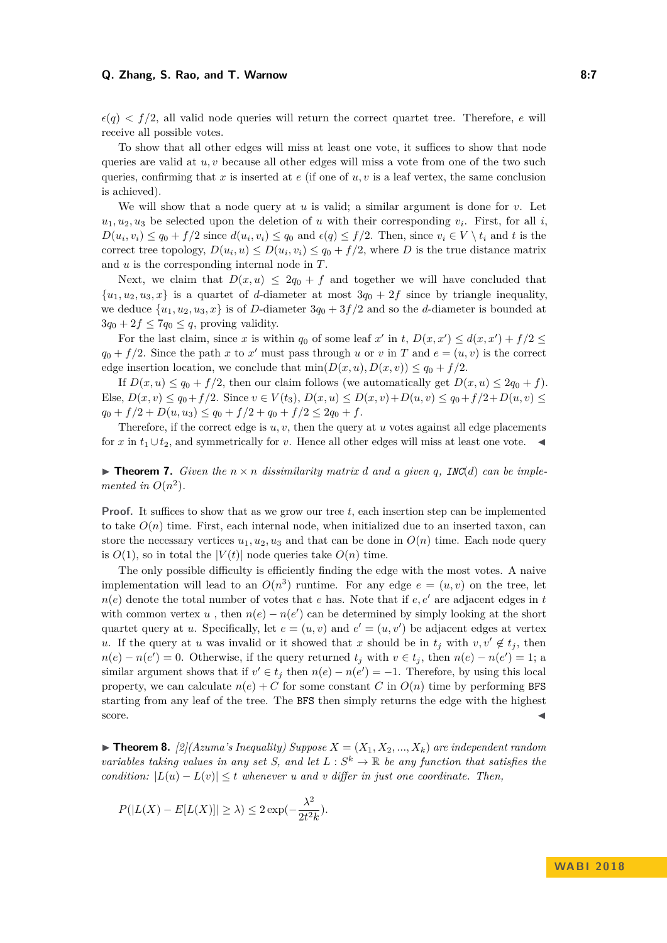#### **Q. Zhang, S. Rao, and T. Warnow 8:7**

 $\epsilon(q)$  <  $f/2$ , all valid node queries will return the correct quartet tree. Therefore, *e* will receive all possible votes.

To show that all other edges will miss at least one vote, it suffices to show that node queries are valid at *u, v* because all other edges will miss a vote from one of the two such queries, confirming that  $x$  is inserted at  $e$  (if one of  $u, v$  is a leaf vertex, the same conclusion is achieved).

We will show that a node query at  $u$  is valid; a similar argument is done for  $v$ . Let  $u_1, u_2, u_3$  be selected upon the deletion of *u* with their corresponding  $v_i$ . First, for all *i*,  $D(u_i, v_i) \le q_0 + f/2$  since  $d(u_i, v_i) \le q_0$  and  $\epsilon(q) \le f/2$ . Then, since  $v_i \in V \setminus t_i$  and t is the correct tree topology,  $D(u_i, u) \le D(u_i, v_i) \le q_0 + f/2$ , where *D* is the true distance matrix and *u* is the corresponding internal node in *T*.

Next, we claim that  $D(x, u) \leq 2q_0 + f$  and together we will have concluded that  $\{u_1, u_2, u_3, x\}$  is a quartet of *d*-diameter at most  $3q_0 + 2f$  since by triangle inequality, we deduce  $\{u_1, u_2, u_3, x\}$  is of *D*-diameter  $3q_0 + 3f/2$  and so the *d*-diameter is bounded at  $3q_0 + 2f \leq 7q_0 \leq q$ , proving validity.

For the last claim, since *x* is within  $q_0$  of some leaf  $x'$  in  $t$ ,  $D(x, x') \leq d(x, x') + f/2 \leq d(x, x') + f/2$  $q_0 + f/2$ . Since the path *x* to *x*' must pass through *u* or *v* in *T* and  $e = (u, v)$  is the correct edge insertion location, we conclude that  $min(D(x, u), D(x, v)) \leq q_0 + f/2$ .

If  $D(x, u) \leq q_0 + f/2$ , then our claim follows (we automatically get  $D(x, u) \leq 2q_0 + f$ ). Else,  $D(x, v) \leq q_0 + f/2$ . Since  $v \in V(t_3)$ ,  $D(x, u) \leq D(x, v) + D(u, v) \leq q_0 + f/2 + D(u, v) \leq$  $q_0 + f/2 + D(u, u_3) \leq q_0 + f/2 + q_0 + f/2 \leq 2q_0 + f.$ 

Therefore, if the correct edge is  $u, v$ , then the query at  $u$  votes against all edge placements for *x* in  $t_1 \cup t_2$ , and symmetrically for *v*. Hence all other edges will miss at least one vote.  $\triangleleft$ 

<span id="page-6-0"></span>**Find 1.** *Given the*  $n \times n$  *dissimilarity matrix d* and *a given q, INC***(***d***)** *can be implemented in*  $O(n^2)$ *.* 

**Proof.** It suffices to show that as we grow our tree *t*, each insertion step can be implemented to take  $O(n)$  time. First, each internal node, when initialized due to an inserted taxon, can store the necessary vertices  $u_1, u_2, u_3$  and that can be done in  $O(n)$  time. Each node query is  $O(1)$ , so in total the  $|V(t)|$  node queries take  $O(n)$  time.

The only possible difficulty is efficiently finding the edge with the most votes. A naive implementation will lead to an  $O(n^3)$  runtime. For any edge  $e = (u, v)$  on the tree, let  $n(e)$  denote the total number of votes that *e* has. Note that if *e, e'* are adjacent edges in *t* with common vertex *u*, then  $n(e) - n(e')$  can be determined by simply looking at the short quartet query at *u*. Specifically, let  $e = (u, v)$  and  $e' = (u, v')$  be adjacent edges at vertex *u*. If the query at *u* was invalid or it showed that *x* should be in  $t_j$  with  $v, v' \notin t_j$ , then  $n(e) - n(e') = 0$ . Otherwise, if the query returned  $t_j$  with  $v \in t_j$ , then  $n(e) - n(e') = 1$ ; a similar argument shows that if  $v' \in t_j$  then  $n(e) - n(e') = -1$ . Therefore, by using this local property, we can calculate  $n(e) + C$  for some constant *C* in  $O(n)$  time by performing BFS starting from any leaf of the tree. The BFS then simply returns the edge with the highest score.

 $\blacktriangleright$  **Theorem 8.** [\[2\]](#page-10-8)*(Azuma's Inequality) Suppose*  $X = (X_1, X_2, ..., X_k)$  *are independent random variables taking values in any set S, and let*  $L : S^k \to \mathbb{R}$  *be any function that satisfies the condition:*  $|L(u) - L(v)| \le t$  *whenever u and v differ in just one coordinate. Then,* 

$$
P(|L(X) - E[L(X)]| \ge \lambda) \le 2\exp(-\frac{\lambda^2}{2t^2k}).
$$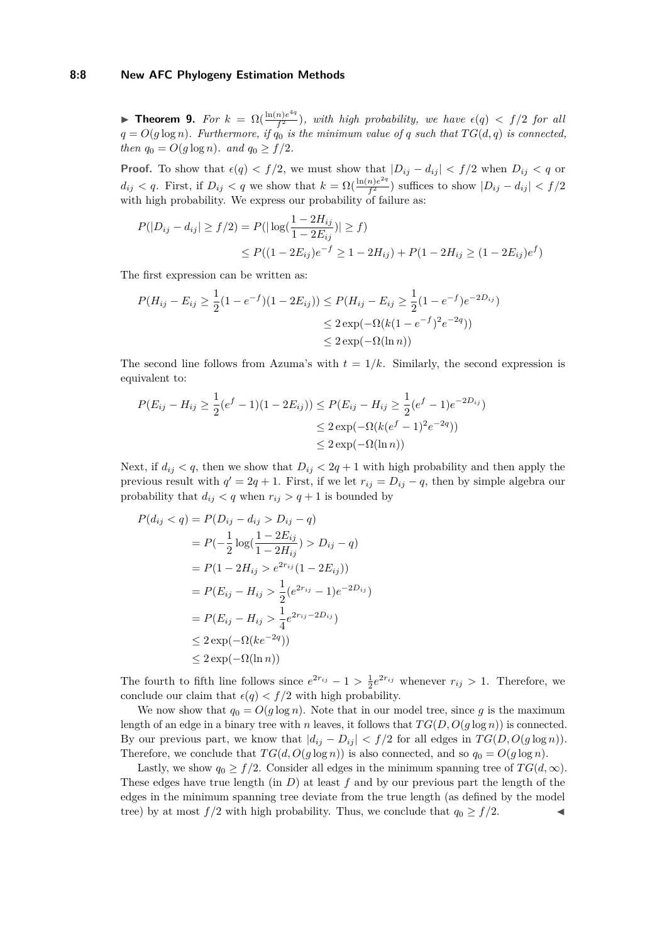#### **8:8 New AFC Phylogeny Estimation Methods**

<span id="page-7-0"></span>**Find Theorem 9.** *For*  $k = \Omega(\frac{\ln(n)e^{4q}}{f^2})$  $\frac{n}{f^2}$ ), with high probability, we have  $\epsilon(q) < f/2$  for all  $q = O(g \log n)$ *. Furthermore, if*  $q_0$  *is the minimum value of*  $q$  *such that*  $TG(d, q)$  *is connected, then*  $q_0 = O(g \log n)$ *. and*  $q_0 \geq f/2$ *.* 

**Proof.** To show that  $\epsilon(q) < f/2$ , we must show that  $|D_{ij} - d_{ij}| < f/2$  when  $D_{ij} < q$  or  $d_{ij} < q$ . First, if  $D_{ij} < q$  we show that  $k = \Omega(\frac{\ln(n)e^{2q}}{f^2})$  $\frac{n}{f^2}$ ) suffices to show  $|D_{ij} - d_{ij}| < f/2$ with high probability. We express our probability of failure as:

$$
P(|D_{ij} - d_{ij}| \ge f/2) = P(|\log(\frac{1 - 2H_{ij}}{1 - 2E_{ij}})| \ge f)
$$
  
 
$$
\le P((1 - 2E_{ij})e^{-f} \ge 1 - 2H_{ij}) + P(1 - 2H_{ij} \ge (1 - 2E_{ij})e^{f})
$$

The first expression can be written as:

$$
P(H_{ij} - E_{ij} \ge \frac{1}{2}(1 - e^{-f})(1 - 2E_{ij})) \le P(H_{ij} - E_{ij} \ge \frac{1}{2}(1 - e^{-f})e^{-2D_{ij}})
$$
  

$$
\le 2 \exp(-\Omega(k(1 - e^{-f})^2 e^{-2q}))
$$
  

$$
\le 2 \exp(-\Omega(\ln n))
$$

The second line follows from Azuma's with  $t = 1/k$ . Similarly, the second expression is equivalent to:

$$
P(E_{ij} - H_{ij} \ge \frac{1}{2}(e^f - 1)(1 - 2E_{ij})) \le P(E_{ij} - H_{ij} \ge \frac{1}{2}(e^f - 1)e^{-2D_{ij}})
$$
  

$$
\le 2 \exp(-\Omega(k(e^f - 1)^2 e^{-2q}))
$$
  

$$
\le 2 \exp(-\Omega(\ln n))
$$

Next, if  $d_{ij} < q$ , then we show that  $D_{ij} < 2q + 1$  with high probability and then apply the previous result with  $q' = 2q + 1$ . First, if we let  $r_{ij} = D_{ij} - q$ , then by simple algebra our probability that  $d_{ij} < q$  when  $r_{ij} > q + 1$  is bounded by

$$
P(d_{ij} < q) = P(D_{ij} - d_{ij} > D_{ij} - q)
$$
  
=  $P(-\frac{1}{2} \log(\frac{1 - 2E_{ij}}{1 - 2H_{ij}}) > D_{ij} - q)$   
=  $P(1 - 2H_{ij} > e^{2r_{ij}}(1 - 2E_{ij}))$   
=  $P(E_{ij} - H_{ij} > \frac{1}{2}(e^{2r_{ij}} - 1)e^{-2D_{ij}})$   
=  $P(E_{ij} - H_{ij} > \frac{1}{4}e^{2r_{ij} - 2D_{ij}})$   
 $\leq 2 \exp(-\Omega(ke^{-2q}))$   
 $\leq 2 \exp(-\Omega(\ln n))$ 

The fourth to fifth line follows since  $e^{2r_{ij}} - 1 > \frac{1}{2}e^{2r_{ij}}$  whenever  $r_{ij} > 1$ . Therefore, we conclude our claim that  $\epsilon(q) < f/2$  with high probability.

We now show that  $q_0 = O(g \log n)$ . Note that in our model tree, since g is the maximum length of an edge in a binary tree with *n* leaves, it follows that  $TG(D, O(g \log n))$  is connected. By our previous part, we know that  $|d_{ij} - D_{ij}| < f/2$  for all edges in  $TG(D, O(g \log n))$ . Therefore, we conclude that  $TG(d, O(g \log n))$  is also connected, and so  $q_0 = O(g \log n)$ .

Lastly, we show  $q_0 \geq f/2$ . Consider all edges in the minimum spanning tree of  $TG(d,\infty)$ . These edges have true length (in *D*) at least *f* and by our previous part the length of the edges in the minimum spanning tree deviate from the true length (as defined by the model tree) by at most  $f/2$  with high probability. Thus, we conclude that  $q_0 \ge f/2$ .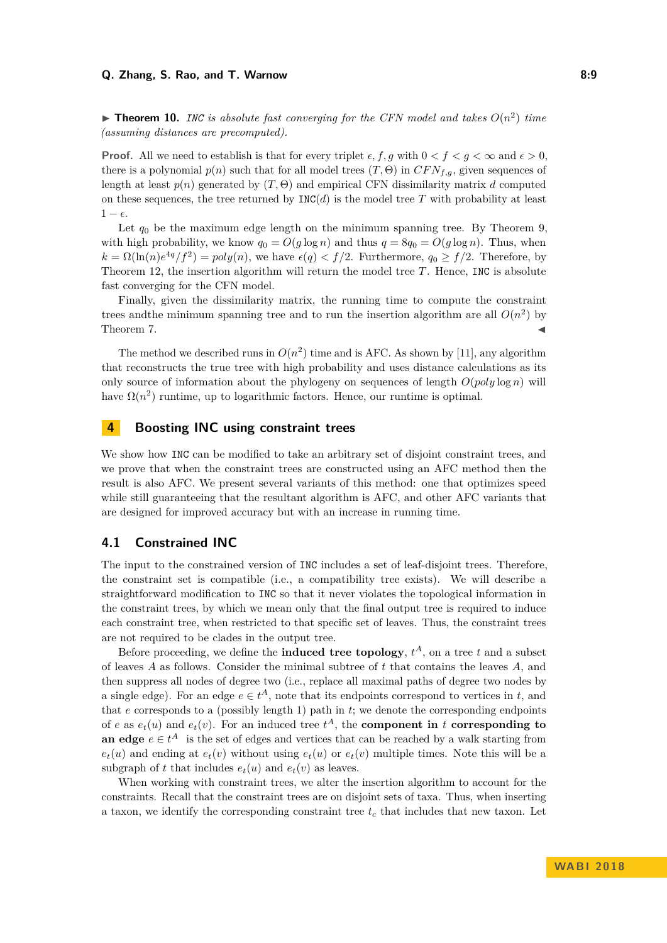<span id="page-8-1"></span> $\triangleright$  **Theorem 10.** *INC is absolute fast converging for the CFN model and takes*  $O(n^2)$  *time (assuming distances are precomputed).*

**Proof.** All we need to establish is that for every triplet  $\epsilon, f, g$  with  $0 < f < g < \infty$  and  $\epsilon > 0$ . there is a polynomial  $p(n)$  such that for all model trees  $(T, \Theta)$  in  $CFN_{f,g}$ , given sequences of length at least  $p(n)$  generated by  $(T, \Theta)$  and empirical CFN dissimilarity matrix *d* computed on these sequences, the tree returned by  $INC(d)$  is the model tree *T* with probability at least  $1 - \epsilon$ .

Let  $q_0$  be the maximum edge length on the minimum spanning tree. By Theorem [9,](#page-7-0) with high probability, we know  $q_0 = O(g \log n)$  and thus  $q = 8q_0 = O(g \log n)$ . Thus, when  $k = \Omega(\ln(n)e^{4q}/f^2) = poly(n)$ , we have  $\epsilon(q) < f/2$ . Furthermore,  $q_0 \ge f/2$ . Therefore, by Theorem [12,](#page-9-0) the insertion algorithm will return the model tree *T*. Hence, INC is absolute fast converging for the CFN model.

Finally, given the dissimilarity matrix, the running time to compute the constraint trees and the minimum spanning tree and to run the insertion algorithm are all  $O(n^2)$  by Theorem [7.](#page-6-0)  $\blacktriangleleft$ 

The method we described runs in  $O(n^2)$  time and is AFC. As shown by [\[11\]](#page-11-11), any algorithm that reconstructs the true tree with high probability and uses distance calculations as its only source of information about the phylogeny on sequences of length  $O(poly \log n)$  will have  $\Omega(n^2)$  runtime, up to logarithmic factors. Hence, our runtime is optimal.

# <span id="page-8-0"></span>**4 Boosting INC using constraint trees**

We show how INC can be modified to take an arbitrary set of disjoint constraint trees, and we prove that when the constraint trees are constructed using an AFC method then the result is also AFC. We present several variants of this method: one that optimizes speed while still guaranteeing that the resultant algorithm is AFC, and other AFC variants that are designed for improved accuracy but with an increase in running time.

#### **4.1 Constrained INC**

The input to the constrained version of INC includes a set of leaf-disjoint trees. Therefore, the constraint set is compatible (i.e., a compatibility tree exists). We will describe a straightforward modification to INC so that it never violates the topological information in the constraint trees, by which we mean only that the final output tree is required to induce each constraint tree, when restricted to that specific set of leaves. Thus, the constraint trees are not required to be clades in the output tree.

Before proceeding, we define the **induced tree topology**,  $t^A$ , on a tree  $t$  and a subset of leaves *A* as follows. Consider the minimal subtree of *t* that contains the leaves *A*, and then suppress all nodes of degree two (i.e., replace all maximal paths of degree two nodes by a single edge). For an edge  $e \in t^A$ , note that its endpoints correspond to vertices in *t*, and that *e* corresponds to a (possibly length 1) path in *t*; we denote the corresponding endpoints of *e* as  $e_t(u)$  and  $e_t(v)$ . For an induced tree  $t^A$ , the **component in** *t* **corresponding to an edge**  $e \in t^A$  is the set of edges and vertices that can be reached by a walk starting from  $e_t(u)$  and ending at  $e_t(v)$  without using  $e_t(u)$  or  $e_t(v)$  multiple times. Note this will be a subgraph of *t* that includes  $e_t(u)$  and  $e_t(v)$  as leaves.

When working with constraint trees, we alter the insertion algorithm to account for the constraints. Recall that the constraint trees are on disjoint sets of taxa. Thus, when inserting a taxon, we identify the corresponding constraint tree *t<sup>c</sup>* that includes that new taxon. Let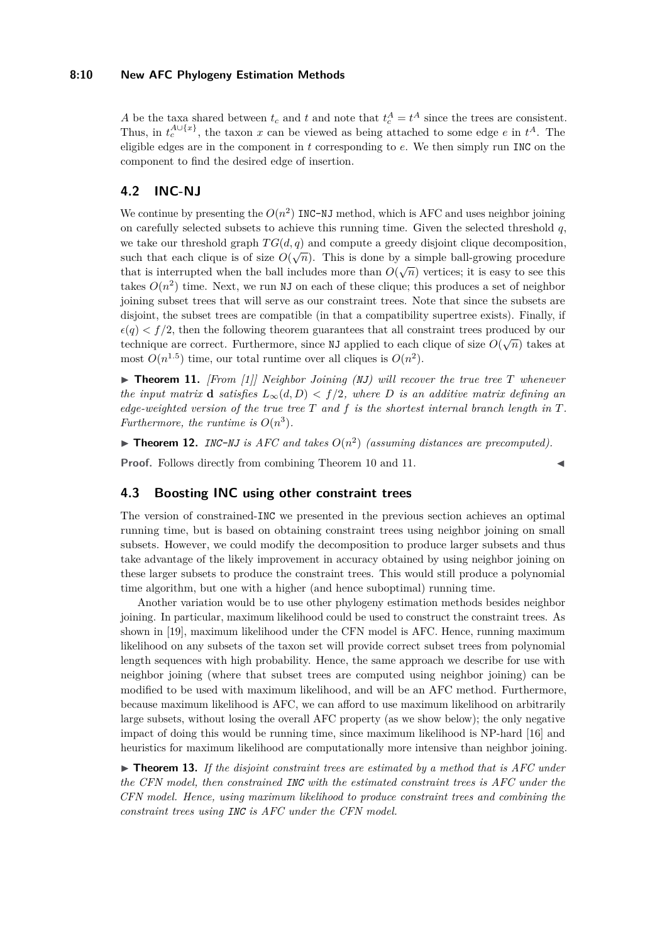#### **8:10 New AFC Phylogeny Estimation Methods**

*A* be the taxa shared between  $t_c$  and  $t$  and note that  $t_c^A = t^A$  since the trees are consistent. Thus, in  $t_c^{\text{A}\cup\{x\}}$ , the taxon *x* can be viewed as being attached to some edge *e* in  $t^A$ . The eligible edges are in the component in *t* corresponding to *e*. We then simply run INC on the component to find the desired edge of insertion.

## **4.2 INC-NJ**

We continue by presenting the  $O(n^2)$  INC-NJ method, which is AFC and uses neighbor joining on carefully selected subsets to achieve this running time. Given the selected threshold *q*, we take our threshold graph  $TG(d, q)$  and compute a greedy disjoint clique decomposition, such that each clique is of size  $O(\sqrt{n})$ . This is done by a simple ball-growing procedure that is interrupted when the ball includes more than  $O(\sqrt{n})$  vertices; it is easy to see this takes  $O(n^2)$  time. Next, we run NJ on each of these clique; this produces a set of neighbor joining subset trees that will serve as our constraint trees. Note that since the subsets are disjoint, the subset trees are compatible (in that a compatibility supertree exists). Finally, if  $\epsilon(q) < f/2$ , then the following theorem guarantees that all constraint trees produced by our technique are correct. Furthermore, since NJ applied to each clique of size  $O(\sqrt{n})$  takes at technique are correct. Furthermore, since NJ applied to each clique of size  $O(\sqrt{n})$  takes most  $O(n^{1.5})$  time, our total runtime over all cliques is  $O(n^2)$ .

<span id="page-9-1"></span> $\triangleright$  **Theorem 11.** *[From [\[1\]](#page-10-1)] Neighbor Joining (NJ) will recover the true tree T whenever the input matrix* **d** *satisfies*  $L_\infty(d, D) < f/2$ *, where D is an additive matrix defining an edge-weighted version of the true tree T and f is the shortest internal branch length in T. Furthermore, the runtime is*  $O(n^3)$ *.* 

<span id="page-9-0"></span>**Theorem 12.** *INC-NJ* is AFC and takes  $O(n^2)$  (assuming distances are precomputed).

**Proof.** Follows directly from combining Theorem [10](#page-8-1) and [11.](#page-9-1)

## **4.3 Boosting INC using other constraint trees**

The version of constrained-INC we presented in the previous section achieves an optimal running time, but is based on obtaining constraint trees using neighbor joining on small subsets. However, we could modify the decomposition to produce larger subsets and thus take advantage of the likely improvement in accuracy obtained by using neighbor joining on these larger subsets to produce the constraint trees. This would still produce a polynomial time algorithm, but one with a higher (and hence suboptimal) running time.

Another variation would be to use other phylogeny estimation methods besides neighbor joining. In particular, maximum likelihood could be used to construct the constraint trees. As shown in [\[19\]](#page-11-2), maximum likelihood under the CFN model is AFC. Hence, running maximum likelihood on any subsets of the taxon set will provide correct subset trees from polynomial length sequences with high probability. Hence, the same approach we describe for use with neighbor joining (where that subset trees are computed using neighbor joining) can be modified to be used with maximum likelihood, and will be an AFC method. Furthermore, because maximum likelihood is AFC, we can afford to use maximum likelihood on arbitrarily large subsets, without losing the overall AFC property (as we show below); the only negative impact of doing this would be running time, since maximum likelihood is NP-hard [\[16\]](#page-11-16) and heuristics for maximum likelihood are computationally more intensive than neighbor joining.

 $\triangleright$  **Theorem 13.** If the disjoint constraint trees are estimated by a method that is AFC under *the CFN model, then constrained INC with the estimated constraint trees is AFC under the CFN model. Hence, using maximum likelihood to produce constraint trees and combining the constraint trees using INC is AFC under the CFN model.*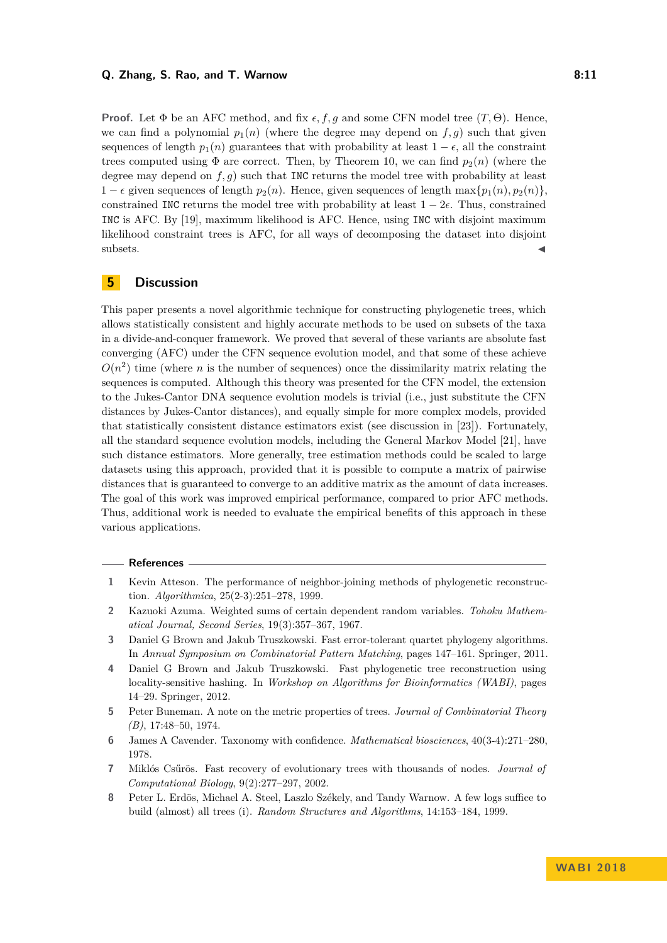#### **Q. Zhang, S. Rao, and T. Warnow 8:11**

**Proof.** Let  $\Phi$  be an AFC method, and fix  $\epsilon$ , f, g and some CFN model tree  $(T, \Theta)$ . Hence, we can find a polynomial  $p_1(n)$  (where the degree may depend on  $f, g$ ) such that given sequences of length  $p_1(n)$  guarantees that with probability at least  $1 - \epsilon$ , all the constraint trees computed using  $\Phi$  are correct. Then, by Theorem [10,](#page-8-1) we can find  $p_2(n)$  (where the degree may depend on *f, g*) such that INC returns the model tree with probability at least 1 −  $\epsilon$  given sequences of length  $p_2(n)$ . Hence, given sequences of length max{ $p_1(n)$ ,  $p_2(n)$ }. constrained INC returns the model tree with probability at least  $1 - 2\epsilon$ . Thus, constrained INC is AFC. By [\[19\]](#page-11-2), maximum likelihood is AFC. Hence, using INC with disjoint maximum likelihood constraint trees is AFC, for all ways of decomposing the dataset into disjoint  $\blacksquare$ subsets.

# <span id="page-10-5"></span>**5 Discussion**

This paper presents a novel algorithmic technique for constructing phylogenetic trees, which allows statistically consistent and highly accurate methods to be used on subsets of the taxa in a divide-and-conquer framework. We proved that several of these variants are absolute fast converging (AFC) under the CFN sequence evolution model, and that some of these achieve  $O(n^2)$  time (where *n* is the number of sequences) once the dissimilarity matrix relating the sequences is computed. Although this theory was presented for the CFN model, the extension to the Jukes-Cantor DNA sequence evolution models is trivial (i.e., just substitute the CFN distances by Jukes-Cantor distances), and equally simple for more complex models, provided that statistically consistent distance estimators exist (see discussion in [\[23\]](#page-11-3)). Fortunately, all the standard sequence evolution models, including the General Markov Model [\[21\]](#page-11-17), have such distance estimators. More generally, tree estimation methods could be scaled to large datasets using this approach, provided that it is possible to compute a matrix of pairwise distances that is guaranteed to converge to an additive matrix as the amount of data increases. The goal of this work was improved empirical performance, compared to prior AFC methods. Thus, additional work is needed to evaluate the empirical benefits of this approach in these various applications.

#### **References**

- <span id="page-10-1"></span>**1** Kevin Atteson. The performance of neighbor-joining methods of phylogenetic reconstruction. *Algorithmica*, 25(2-3):251–278, 1999.
- <span id="page-10-8"></span>**2** Kazuoki Azuma. Weighted sums of certain dependent random variables. *Tohoku Mathematical Journal, Second Series*, 19(3):357–367, 1967.
- <span id="page-10-7"></span>**3** Daniel G Brown and Jakub Truszkowski. Fast error-tolerant quartet phylogeny algorithms. In *Annual Symposium on Combinatorial Pattern Matching*, pages 147–161. Springer, 2011.
- <span id="page-10-3"></span>**4** Daniel G Brown and Jakub Truszkowski. Fast phylogenetic tree reconstruction using locality-sensitive hashing. In *Workshop on Algorithms for Bioinformatics (WABI)*, pages 14–29. Springer, 2012.
- <span id="page-10-6"></span>**5** Peter Buneman. A note on the metric properties of trees. *Journal of Combinatorial Theory (B)*, 17:48–50, 1974.
- <span id="page-10-0"></span>**6** James A Cavender. Taxonomy with confidence. *Mathematical biosciences*, 40(3-4):271–280, 1978.
- <span id="page-10-4"></span>**7** Miklós Csűrös. Fast recovery of evolutionary trees with thousands of nodes. *Journal of Computational Biology*, 9(2):277–297, 2002.
- <span id="page-10-2"></span>**8** Peter L. Erdös, Michael A. Steel, Laszlo Székely, and Tandy Warnow. A few logs suffice to build (almost) all trees (i). *Random Structures and Algorithms*, 14:153–184, 1999.